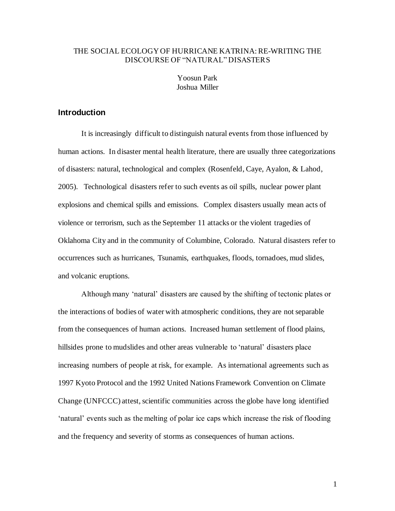# THE SOCIAL ECOLOGY OF HURRICANE KATRINA: RE-WRITING THE DISCOURSE OF "NATURAL" DISASTERS

Yoosun Park Joshua Miller

## **Introduction**

It is increasingly difficult to distinguish natural events from those influenced by human actions. In disaster mental health literature, there are usually three categorizations of disasters: natural, technological and complex (Rosenfeld, Caye, Ayalon, & Lahod, 2005). Technological disasters refer to such events as oil spills, nuclear power plant explosions and chemical spills and emissions. Complex disasters usually mean acts of violence or terrorism, such as the September 11 attacks or the violent tragedies of Oklahoma City and in the community of Columbine, Colorado. Natural disasters refer to occurrences such as hurricanes, Tsunamis, earthquakes, floods, tornadoes, mud slides, and volcanic eruptions.

Although many 'natural' disasters are caused by the shifting of tectonic plates or the interactions of bodies of water with atmospheric conditions, they are not separable from the consequences of human actions. Increased human settlement of flood plains, hillsides prone to mudslides and other areas vulnerable to 'natural' disasters place increasing numbers of people at risk, for example. As international agreements such as 1997 Kyoto Protocol and the 1992 United Nations Framework Convention on Climate Change (UNFCCC) attest, scientific communities across the globe have long identified 'natural' events such as the melting of polar ice caps which increase the risk of flooding and the frequency and severity of storms as consequences of human actions.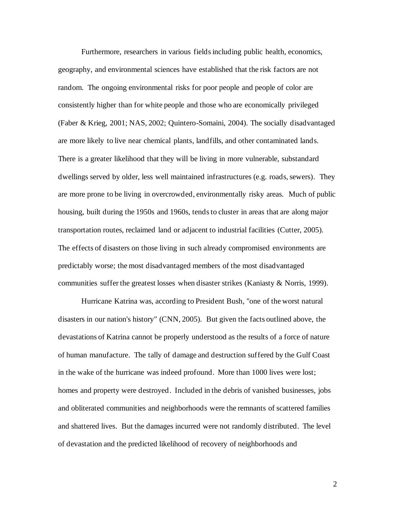Furthermore, researchers in various fields including public health, economics, geography, and environmental sciences have established that the risk factors are not random. The ongoing environmental risks for poor people and people of color are consistently higher than for white people and those who are economically privileged (Faber & Krieg, 2001; NAS, 2002; Quintero-Somaini, 2004). The socially disadvantaged are more likely to live near chemical plants, landfills, and other contaminated lands. There is a greater likelihood that they will be living in more vulnerable, substandard dwellings served by older, less well maintained infrastructures (e.g. roads, sewers). They are more prone to be living in overcrowded, environmentally risky areas. Much of public housing, built during the 1950s and 1960s, tends to cluster in areas that are along major transportation routes, reclaimed land or adjacent to industrial facilities (Cutter, 2005). The effects of disasters on those living in such already compromised environments are predictably worse; the most disadvantaged members of the most disadvantaged communities suffer the greatest losses when disaster strikes (Kaniasty & Norris, 1999).

Hurricane Katrina was, according to President Bush, "one of the worst natural disasters in our nation's history" (CNN, 2005). But given the facts outlined above, the devastations of Katrina cannot be properly understood as the results of a force of nature of human manufacture. The tally of damage and destruction suffered by the Gulf Coast in the wake of the hurricane was indeed profound. More than 1000 lives were lost; homes and property were destroyed. Included in the debris of vanished businesses, jobs and obliterated communities and neighborhoods were the remnants of scattered families and shattered lives. But the damages incurred were not randomly distributed. The level of devastation and the predicted likelihood of recovery of neighborhoods and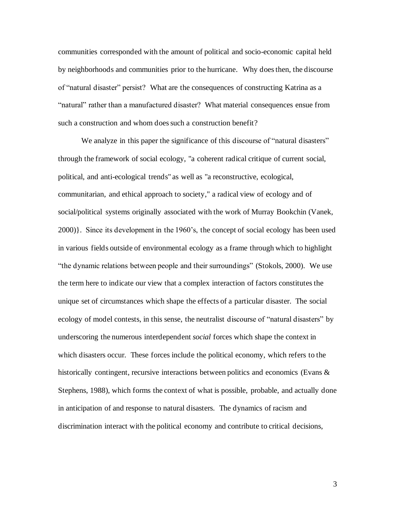communities corresponded with the amount of political and socio-economic capital held by neighborhoods and communities prior to the hurricane. Why does then, the discourse of "natural disaster" persist? What are the consequences of constructing Katrina as a "natural" rather than a manufactured disaster? What material consequences ensue from such a construction and whom does such a construction benefit?

We analyze in this paper the significance of this discourse of "natural disasters" through the framework of social ecology, "a coherent radical critique of current social, political, and anti-ecological trends" as well as "a reconstructive, ecological, communitarian, and ethical approach to society," a radical view of [ecology](http://en.wikipedia.org/wiki/Ecology) and of social/political systems originally associated with the work of Murray Bookchin (Vanek, 2000)}. Since its development in the 1960's, the concept of social ecology has been used in various fields outside of environmental ecology as a frame through which to highlight "the dynamic relations between people and their surroundings" (Stokols, 2000). We use the term here to indicate our view that a complex interaction of factors constitutes the unique set of circumstances which shape the effects of a particular disaster. The social ecology of model contests, in this sense, the neutralist discourse of "natural disasters" by underscoring the numerous interdependent *social* forces which shape the context in which disasters occur. These forces include the political economy, which refers to the historically contingent, recursive interactions between politics and economics (Evans & Stephens, 1988), which forms the context of what is possible, probable, and actually done in anticipation of and response to natural disasters. The dynamics of racism and discrimination interact with the political economy and contribute to critical decisions,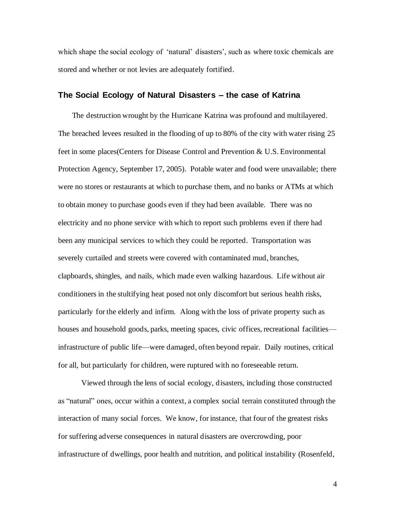which shape the social ecology of 'natural' disasters', such as where toxic chemicals are stored and whether or not levies are adequately fortified.

# **The Social Ecology of Natural Disasters – the case of Katrina**

The destruction wrought by the Hurricane Katrina was profound and multilayered. The breached levees resulted in the flooding of up to 80% of the city with water rising 25 feet in some places(Centers for Disease Control and Prevention & U.S. Environmental Protection Agency, September 17, 2005). Potable water and food were unavailable; there were no stores or restaurants at which to purchase them, and no banks or ATMs at which to obtain money to purchase goods even if they had been available. There was no electricity and no phone service with which to report such problems even if there had been any municipal services to which they could be reported. Transportation was severely curtailed and streets were covered with contaminated mud, branches, clapboards, shingles, and nails, which made even walking hazardous. Life without air conditioners in the stultifying heat posed not only discomfort but serious health risks, particularly for the elderly and infirm. Along with the loss of private property such as houses and household goods, parks, meeting spaces, civic offices, recreational facilities infrastructure of public life—were damaged, often beyond repair. Daily routines, critical for all, but particularly for children, were ruptured with no foreseeable return.

Viewed through the lens of social ecology, disasters, including those constructed as "natural" ones, occur within a context, a complex social terrain constituted through the interaction of many social forces. We know, for instance, that four of the greatest risks for suffering adverse consequences in natural disasters are overcrowding, poor infrastructure of dwellings, poor health and nutrition, and political instability (Rosenfeld,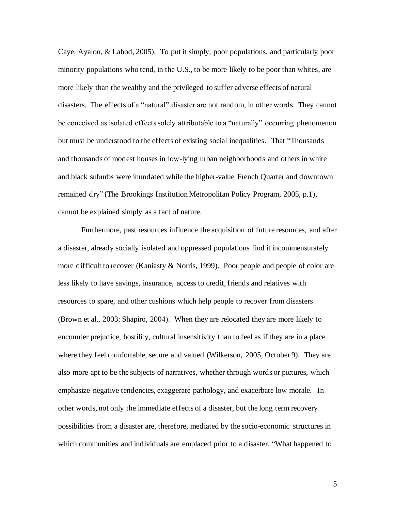Caye, Ayalon, & Lahod, 2005). To put it simply, poor populations, and particularly poor minority populations who tend, in the U.S., to be more likely to be poor than whites, are more likely than the wealthy and the privileged to suffer adverse effects of natural disasters. The effects of a "natural" disaster are not random, in other words. They cannot be conceived as isolated effects solely attributable to a "naturally" occurring phenomenon but must be understood to the effects of existing social inequalities. That "Thousands and thousands of modest houses in low-lying urban neighborhoods and others in white and black suburbs were inundated while the higher-value French Quarter and downtown remained dry" (The Brookings Institution Metropolitan Policy Program, 2005, p.1), cannot be explained simply as a fact of nature.

Furthermore, past resources influence the acquisition of future resources, and after a disaster, already socially isolated and oppressed populations find it incommensurately more difficult to recover (Kaniasty & Norris, 1999). Poor people and people of color are less likely to have savings, insurance, access to credit, friends and relatives with resources to spare, and other cushions which help people to recover from disasters (Brown et al., 2003; Shapiro, 2004). When they are relocated they are more likely to encounter prejudice, hostility, cultural insensitivity than to feel as if they are in a place where they feel comfortable, secure and valued (Wilkerson, 2005, October 9). They are also more apt to be the subjects of narratives, whether through words or pictures, which emphasize negative tendencies, exaggerate pathology, and exacerbate low morale. In other words, not only the immediate effects of a disaster, but the long term recovery possibilities from a disaster are, therefore, mediated by the socio-economic structures in which communities and individuals are emplaced prior to a disaster. "What happened to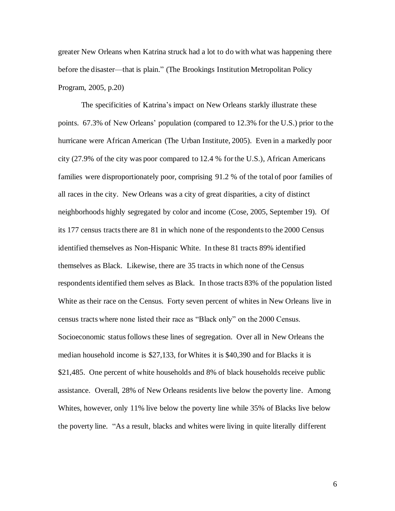greater New Orleans when Katrina struck had a lot to do with what was happening there before the disaster—that is plain." (The Brookings Institution Metropolitan Policy Program, 2005, p.20)

The specificities of Katrina's impact on New Orleans starkly illustrate these points. 67.3% of New Orleans' population (compared to 12.3% for the U.S.) prior to the hurricane were African American (The Urban Institute, 2005). Even in a markedly poor city (27.9% of the city was poor compared to 12.4 % for the U.S.), African Americans families were disproportionately poor, comprising 91.2 % of the total of poor families of all races in the city. New Orleans was a city of great disparities, a city of distinct neighborhoods highly segregated by color and income (Cose, 2005, September 19). Of its 177 census tracts there are 81 in which none of the respondents to the 2000 Census identified themselves as Non-Hispanic White. In these 81 tracts 89% identified themselves as Black. Likewise, there are 35 tracts in which none of the Census respondents identified them selves as Black. In those tracts 83% of the population listed White as their race on the Census. Forty seven percent of whites in New Orleans live in census tracts where none listed their race as "Black only" on the 2000 Census. Socioeconomic status follows these lines of segregation. Over all in New Orleans the median household income is \$27,133, for Whites it is \$40,390 and for Blacks it is \$21,485. One percent of white households and 8% of black households receive public assistance. Overall, 28% of New Orleans residents live below the poverty line. Among Whites, however, only 11% live below the poverty line while 35% of Blacks live below the poverty line. "As a result, blacks and whites were living in quite literally different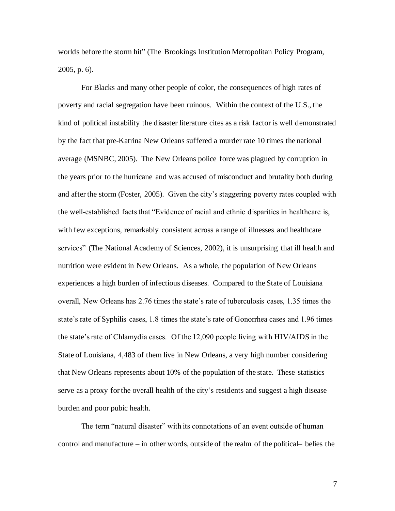worlds before the storm hit" (The Brookings Institution Metropolitan Policy Program, 2005, p. 6).

For Blacks and many other people of color, the consequences of high rates of poverty and racial segregation have been ruinous. Within the context of the U.S., the kind of political instability the disaster literature cites as a risk factor is well demonstrated by the fact that pre-Katrina New Orleans suffered a murder rate 10 times the national average (MSNBC, 2005). The New Orleans police force was plagued by corruption in the years prior to the hurricane and was accused of misconduct and brutality both during and after the storm (Foster, 2005). Given the city's staggering poverty rates coupled with the well-established facts that "Evidence of racial and ethnic disparities in healthcare is, with few exceptions, remarkably consistent across a range of illnesses and healthcare services" (The National Academy of Sciences, 2002), it is unsurprising that ill health and nutrition were evident in New Orleans. As a whole, the population of New Orleans experiences a high burden of infectious diseases. Compared to the State of Louisiana overall, New Orleans has 2.76 times the state's rate of tuberculosis cases, 1.35 times the state's rate of Syphilis cases, 1.8 times the state's rate of Gonorrhea cases and 1.96 times the state's rate of Chlamydia cases. Of the 12,090 people living with HIV/AIDS in the State of Louisiana, 4,483 of them live in New Orleans, a very high number considering that New Orleans represents about 10% of the population of the state. These statistics serve as a proxy for the overall health of the city's residents and suggest a high disease burden and poor pubic health.

The term "natural disaster" with its connotations of an event outside of human control and manufacture – in other words, outside of the realm of the political– belies the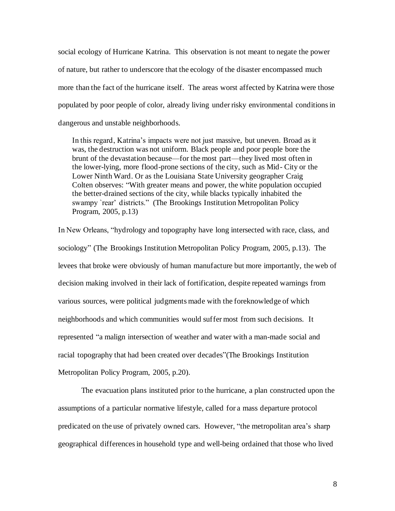social ecology of Hurricane Katrina. This observation is not meant to negate the power of nature, but rather to underscore that the ecology of the disaster encompassed much more than the fact of the hurricane itself. The areas worst affected by Katrina were those populated by poor people of color, already living under risky environmental conditions in dangerous and unstable neighborhoods.

In this regard, Katrina's impacts were not just massive, but uneven. Broad as it was, the destruction was not uniform. Black people and poor people bore the brunt of the devastation because—for the most part—they lived most often in the lower-lying, more flood-prone sections of the city, such as Mid- City or the Lower Ninth Ward. Or as the Louisiana State University geographer Craig Colten observes: "With greater means and power, the white population occupied the better-drained sections of the city, while blacks typically inhabited the swampy `rear' districts." (The Brookings Institution Metropolitan Policy Program, 2005, p.13)

In New Orleans, "hydrology and topography have long intersected with race, class, and sociology" (The Brookings Institution Metropolitan Policy Program, 2005, p.13). The levees that broke were obviously of human manufacture but more importantly, the web of decision making involved in their lack of fortification, despite repeated warnings from various sources, were political judgments made with the foreknowledge of which neighborhoods and which communities would suffer most from such decisions. It represented "a malign intersection of weather and water with a man-made social and racial topography that had been created over decades"(The Brookings Institution Metropolitan Policy Program, 2005, p.20).

The evacuation plans instituted prior to the hurricane, a plan constructed upon the assumptions of a particular normative lifestyle, called for a mass departure protocol predicated on the use of privately owned cars. However, "the metropolitan area's sharp geographical differences in household type and well-being ordained that those who lived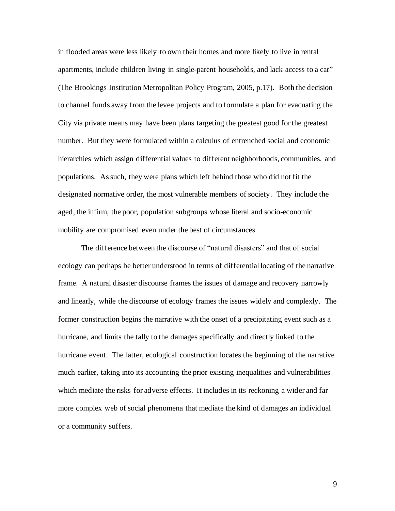in flooded areas were less likely to own their homes and more likely to live in rental apartments, include children living in single-parent households, and lack access to a car" (The Brookings Institution Metropolitan Policy Program, 2005, p.17). Both the decision to channel funds away from the levee projects and to formulate a plan for evacuating the City via private means may have been plans targeting the greatest good for the greatest number. But they were formulated within a calculus of entrenched social and economic hierarchies which assign differential values to different neighborhoods, communities, and populations. As such, they were plans which left behind those who did not fit the designated normative order, the most vulnerable members of society. They include the aged, the infirm, the poor, population subgroups whose literal and socio-economic mobility are compromised even under the best of circumstances.

The difference between the discourse of "natural disasters" and that of social ecology can perhaps be better understood in terms of differential locating of the narrative frame. A natural disaster discourse frames the issues of damage and recovery narrowly and linearly, while the discourse of ecology frames the issues widely and complexly. The former construction begins the narrative with the onset of a precipitating event such as a hurricane, and limits the tally to the damages specifically and directly linked to the hurricane event. The latter, ecological construction locates the beginning of the narrative much earlier, taking into its accounting the prior existing inequalities and vulnerabilities which mediate the risks for adverse effects. It includes in its reckoning a wider and far more complex web of social phenomena that mediate the kind of damages an individual or a community suffers.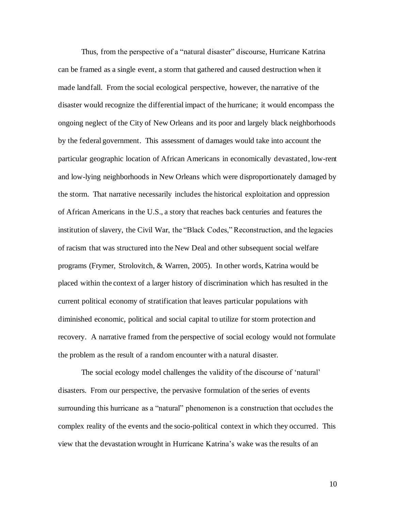Thus, from the perspective of a "natural disaster" discourse, Hurricane Katrina can be framed as a single event, a storm that gathered and caused destruction when it made landfall. From the social ecological perspective, however, the narrative of the disaster would recognize the differential impact of the hurricane; it would encompass the ongoing neglect of the City of New Orleans and its poor and largely black neighborhoods by the federal government. This assessment of damages would take into account the particular geographic location of African Americans in economically devastated, low-rent and low-lying neighborhoods in New Orleans which were disproportionately damaged by the storm. That narrative necessarily includes the historical exploitation and oppression of African Americans in the U.S., a story that reaches back centuries and features the institution of slavery, the Civil War, the "Black Codes," Reconstruction, and the legacies of racism that was structured into the New Deal and other subsequent social welfare programs (Frymer, Strolovitch, & Warren, 2005). In other words, Katrina would be placed within the context of a larger history of discrimination which has resulted in the current political economy of stratification that leaves particular populations with diminished economic, political and social capital to utilize for storm protection and recovery. A narrative framed from the perspective of social ecology would not formulate the problem as the result of a random encounter with a natural disaster.

The social ecology model challenges the validity of the discourse of 'natural' disasters. From our perspective, the pervasive formulation of the series of events surrounding this hurricane as a "natural" phenomenon is a construction that occludes the complex reality of the events and the socio-political context in which they occurred. This view that the devastation wrought in Hurricane Katrina's wake was the results of an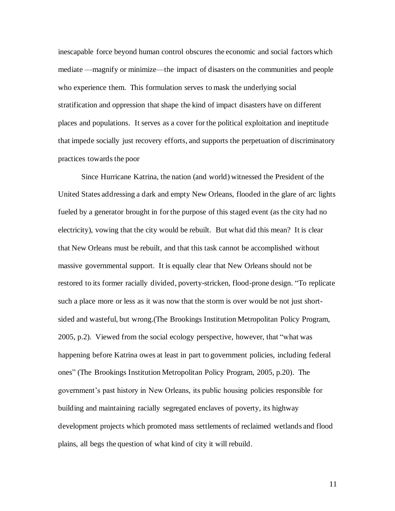inescapable force beyond human control obscures the economic and social factors which mediate —magnify or minimize—the impact of disasters on the communities and people who experience them. This formulation serves to mask the underlying social stratification and oppression that shape the kind of impact disasters have on different places and populations. It serves as a cover for the political exploitation and ineptitude that impede socially just recovery efforts, and supports the perpetuation of discriminatory practices towards the poor

Since Hurricane Katrina, the nation (and world) witnessed the President of the United States addressing a dark and empty New Orleans, flooded in the glare of arc lights fueled by a generator brought in for the purpose of this staged event (as the city had no electricity), vowing that the city would be rebuilt. But what did this mean? It is clear that New Orleans must be rebuilt, and that this task cannot be accomplished without massive governmental support. It is equally clear that New Orleans should not be restored to its former racially divided, poverty-stricken, flood-prone design. "To replicate such a place more or less as it was now that the storm is over would be not just shortsided and wasteful, but wrong.(The Brookings Institution Metropolitan Policy Program, 2005, p.2). Viewed from the social ecology perspective, however, that "what was happening before Katrina owes at least in part to government policies, including federal ones" (The Brookings Institution Metropolitan Policy Program, 2005, p.20). The government's past history in New Orleans, its public housing policies responsible for building and maintaining racially segregated enclaves of poverty, its highway development projects which promoted mass settlements of reclaimed wetlands and flood plains, all begs the question of what kind of city it will rebuild.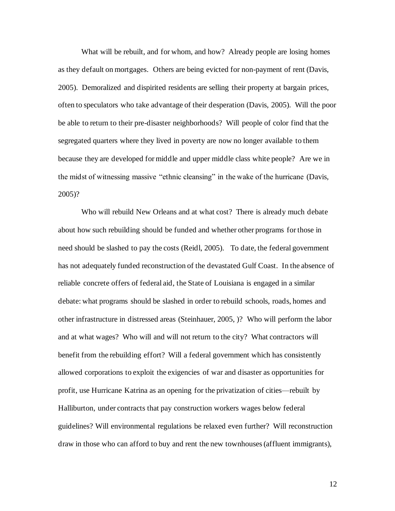What will be rebuilt, and for whom, and how? Already people are losing homes as they default on mortgages. Others are being evicted for non-payment of rent (Davis, 2005). Demoralized and dispirited residents are selling their property at bargain prices, often to speculators who take advantage of their desperation (Davis, 2005). Will the poor be able to return to their pre-disaster neighborhoods? Will people of color find that the segregated quarters where they lived in poverty are now no longer available to them because they are developed for middle and upper middle class white people? Are we in the midst of witnessing massive "ethnic cleansing" in the wake of the hurricane (Davis, 2005)?

Who will rebuild New Orleans and at what cost? There is already much debate about how such rebuilding should be funded and whether other programs for those in need should be slashed to pay the costs (Reidl, 2005). To date, the federal government has not adequately funded reconstruction of the devastated Gulf Coast. In the absence of reliable concrete offers of federal aid, the State of Louisiana is engaged in a similar debate: what programs should be slashed in order to rebuild schools, roads, homes and other infrastructure in distressed areas (Steinhauer, 2005, )? Who will perform the labor and at what wages? Who will and will not return to the city? What contractors will benefit from the rebuilding effort? Will a federal government which has consistently allowed corporations to exploit the exigencies of war and disaster as opportunities for profit, use Hurricane Katrina as an opening for the privatization of cities—rebuilt by Halliburton, under contracts that pay construction workers wages below federal guidelines? Will environmental regulations be relaxed even further? Will reconstruction draw in those who can afford to buy and rent the new townhouses (affluent immigrants),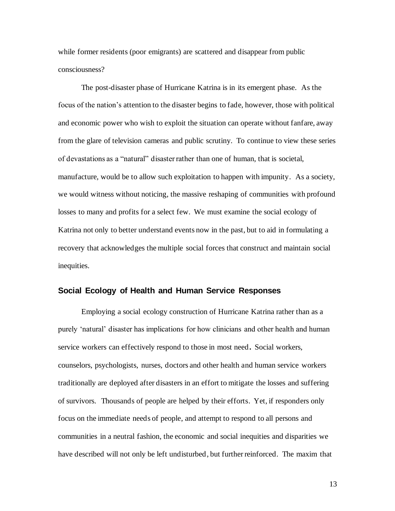while former residents (poor emigrants) are scattered and disappear from public consciousness?

The post-disaster phase of Hurricane Katrina is in its emergent phase. As the focus of the nation's attention to the disaster begins to fade, however, those with political and economic power who wish to exploit the situation can operate without fanfare, away from the glare of television cameras and public scrutiny. To continue to view these series of devastations as a "natural" disaster rather than one of human, that is societal, manufacture, would be to allow such exploitation to happen with impunity. As a society, we would witness without noticing, the massive reshaping of communities with profound losses to many and profits for a select few. We must examine the social ecology of Katrina not only to better understand events now in the past, but to aid in formulating a recovery that acknowledges the multiple social forces that construct and maintain social inequities.

## **Social Ecology of Health and Human Service Responses**

Employing a social ecology construction of Hurricane Katrina rather than as a purely 'natural' disaster has implications for how clinicians and other health and human service workers can effectively respond to those in most need**.** Social workers, counselors, psychologists, nurses, doctors and other health and human service workers traditionally are deployed after disasters in an effort to mitigate the losses and suffering of survivors. Thousands of people are helped by their efforts. Yet, if responders only focus on the immediate needs of people, and attempt to respond to all persons and communities in a neutral fashion, the economic and social inequities and disparities we have described will not only be left undisturbed, but further reinforced. The maxim that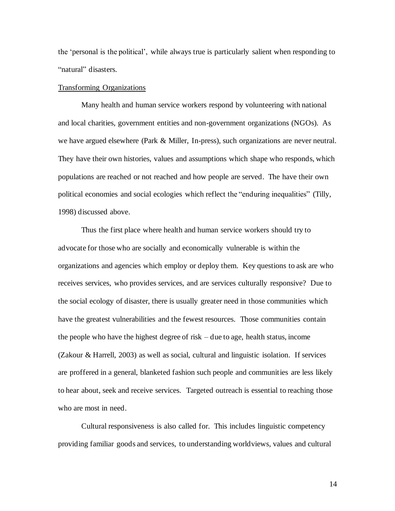the 'personal is the political', while always true is particularly salient when responding to "natural" disasters.

#### Transforming Organizations

Many health and human service workers respond by volunteering with national and local charities, government entities and non-government organizations (NGOs). As we have argued elsewhere (Park & Miller, In-press), such organizations are never neutral. They have their own histories, values and assumptions which shape who responds, which populations are reached or not reached and how people are served. The have their own political economies and social ecologies which reflect the "enduring inequalities" (Tilly, 1998) discussed above.

Thus the first place where health and human service workers should try to advocate for those who are socially and economically vulnerable is within the organizations and agencies which employ or deploy them. Key questions to ask are who receives services, who provides services, and are services culturally responsive? Due to the social ecology of disaster, there is usually greater need in those communities which have the greatest vulnerabilities and the fewest resources. Those communities contain the people who have the highest degree of risk – due to age, health status, income (Zakour & Harrell, 2003) as well as social, cultural and linguistic isolation. If services are proffered in a general, blanketed fashion such people and communities are less likely to hear about, seek and receive services. Targeted outreach is essential to reaching those who are most in need.

Cultural responsiveness is also called for. This includes linguistic competency providing familiar goods and services, to understanding worldviews, values and cultural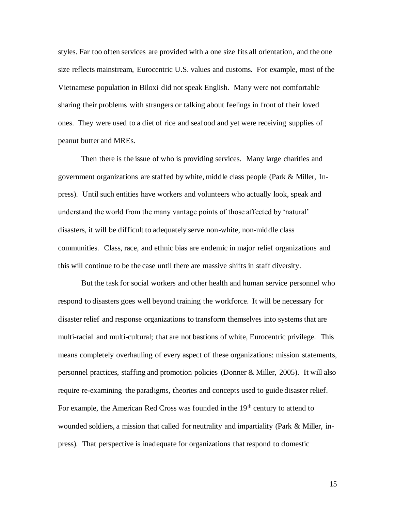styles. Far too often services are provided with a one size fits all orientation, and the one size reflects mainstream, Eurocentric U.S. values and customs. For example, most of the Vietnamese population in Biloxi did not speak English. Many were not comfortable sharing their problems with strangers or talking about feelings in front of their loved ones. They were used to a diet of rice and seafood and yet were receiving supplies of peanut butter and MREs.

Then there is the issue of who is providing services. Many large charities and government organizations are staffed by white, middle class people (Park & Miller, Inpress). Until such entities have workers and volunteers who actually look, speak and understand the world from the many vantage points of those affected by 'natural' disasters, it will be difficult to adequately serve non-white, non-middle class communities. Class, race, and ethnic bias are endemic in major relief organizations and this will continue to be the case until there are massive shifts in staff diversity.

But the task for social workers and other health and human service personnel who respond to disasters goes well beyond training the workforce. It will be necessary for disaster relief and response organizations to transform themselves into systems that are multi-racial and multi-cultural; that are not bastions of white, Eurocentric privilege. This means completely overhauling of every aspect of these organizations: mission statements, personnel practices, staffing and promotion policies (Donner & Miller, 2005). It will also require re-examining the paradigms, theories and concepts used to guide disaster relief. For example, the American Red Cross was founded in the 19<sup>th</sup> century to attend to wounded soldiers, a mission that called for neutrality and impartiality (Park & Miller, inpress). That perspective is inadequate for organizations that respond to domestic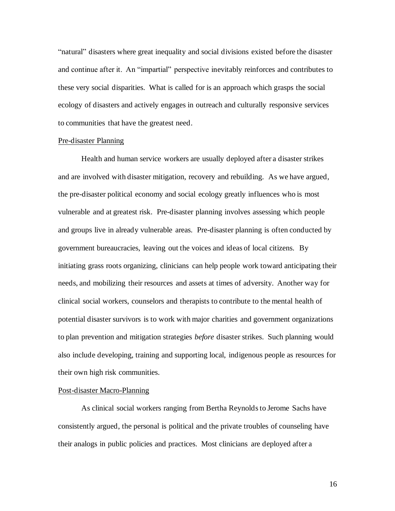"natural" disasters where great inequality and social divisions existed before the disaster and continue after it. An "impartial" perspective inevitably reinforces and contributes to these very social disparities. What is called for is an approach which grasps the social ecology of disasters and actively engages in outreach and culturally responsive services to communities that have the greatest need.

#### Pre-disaster Planning

Health and human service workers are usually deployed after a disaster strikes and are involved with disaster mitigation, recovery and rebuilding. As we have argued, the pre-disaster political economy and social ecology greatly influences who is most vulnerable and at greatest risk. Pre-disaster planning involves assessing which people and groups live in already vulnerable areas. Pre-disaster planning is often conducted by government bureaucracies, leaving out the voices and ideas of local citizens. By initiating grass roots organizing, clinicians can help people work toward anticipating their needs, and mobilizing their resources and assets at times of adversity. Another way for clinical social workers, counselors and therapists to contribute to the mental health of potential disaster survivors is to work with major charities and government organizations to plan prevention and mitigation strategies *before* disaster strikes. Such planning would also include developing, training and supporting local, indigenous people as resources for their own high risk communities.

# Post-disaster Macro-Planning

As clinical social workers ranging from Bertha Reynolds to Jerome Sachs have consistently argued, the personal is political and the private troubles of counseling have their analogs in public policies and practices. Most clinicians are deployed after a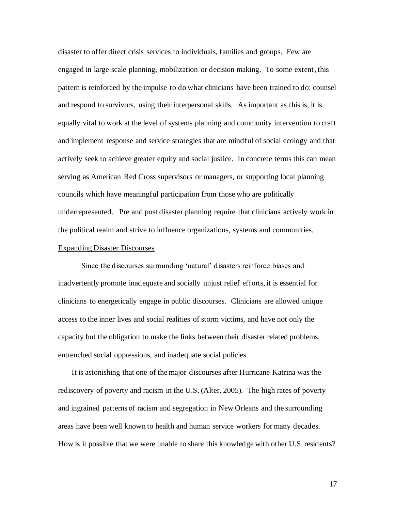disaster to offer direct crisis services to individuals, families and groups. Few are engaged in large scale planning, mobilization or decision making. To some extent, this pattern is reinforced by the impulse to do what clinicians have been trained to do: counsel and respond to survivors, using their interpersonal skills. As important as this is, it is equally vital to work at the level of systems planning and community intervention to craft and implement response and service strategies that are mindful of social ecology and that actively seek to achieve greater equity and social justice. In concrete terms this can mean serving as American Red Cross supervisors or managers, or supporting local planning councils which have meaningful participation from those who are politically underrepresented. Pre and post disaster planning require that clinicians actively work in the political realm and strive to influence organizations, systems and communities.

### Expanding Disaster Discourses

Since the discourses surrounding 'natural' disasters reinforce biases and inadvertently promote inadequate and socially unjust relief efforts, it is essential for clinicians to energetically engage in public discourses. Clinicians are allowed unique access to the inner lives and social realities of storm victims, and have not only the capacity but the obligation to make the links between their disaster related problems, entrenched social oppressions, and inadequate social policies.

It is astonishing that one of the major discourses after Hurricane Katrina was the rediscovery of poverty and racism in the U.S. (Alter, 2005). The high rates of poverty and ingrained patterns of racism and segregation in New Orleans and the surrounding areas have been well known to health and human service workers for many decades. How is it possible that we were unable to share this knowledge with other U.S. residents?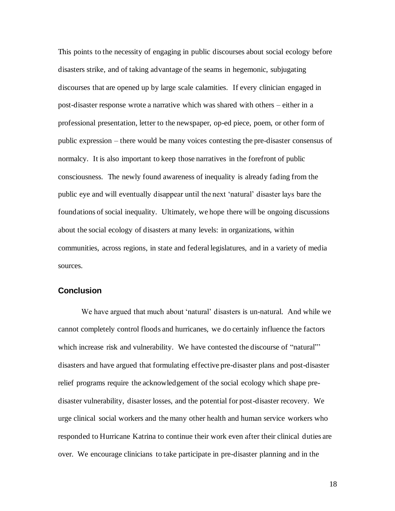This points to the necessity of engaging in public discourses about social ecology before disasters strike, and of taking advantage of the seams in hegemonic, subjugating discourses that are opened up by large scale calamities. If every clinician engaged in post-disaster response wrote a narrative which was shared with others – either in a professional presentation, letter to the newspaper, op-ed piece, poem, or other form of public expression – there would be many voices contesting the pre-disaster consensus of normalcy. It is also important to keep those narratives in the forefront of public consciousness. The newly found awareness of inequality is already fading from the public eye and will eventually disappear until the next 'natural' disaster lays bare the foundations of social inequality. Ultimately, we hope there will be ongoing discussions about the social ecology of disasters at many levels: in organizations, within communities, across regions, in state and federal legislatures, and in a variety of media sources.

# **Conclusion**

We have argued that much about 'natural' disasters is un-natural. And while we cannot completely control floods and hurricanes, we do certainly influence the factors which increase risk and vulnerability. We have contested the discourse of "natural"' disasters and have argued that formulating effective pre-disaster plans and post-disaster relief programs require the acknowledgement of the social ecology which shape predisaster vulnerability, disaster losses, and the potential for post-disaster recovery. We urge clinical social workers and the many other health and human service workers who responded to Hurricane Katrina to continue their work even after their clinical duties are over. We encourage clinicians to take participate in pre-disaster planning and in the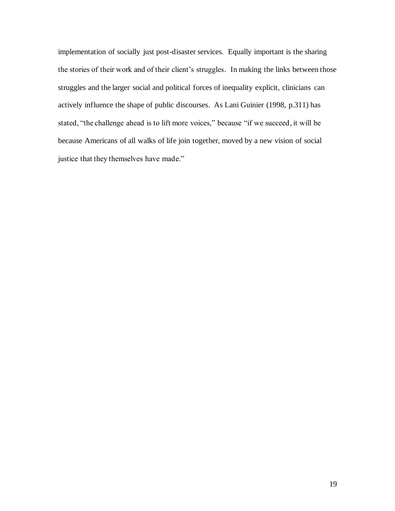implementation of socially just post-disaster services. Equally important is the sharing the stories of their work and of their client's struggles. In making the links between those struggles and the larger social and political forces of inequality explicit, clinicians can actively influence the shape of public discourses. As Lani Guinier (1998, p.311) has stated, "the challenge ahead is to lift more voices," because "if we succeed, it will be because Americans of all walks of life join together, moved by a new vision of social justice that they themselves have made."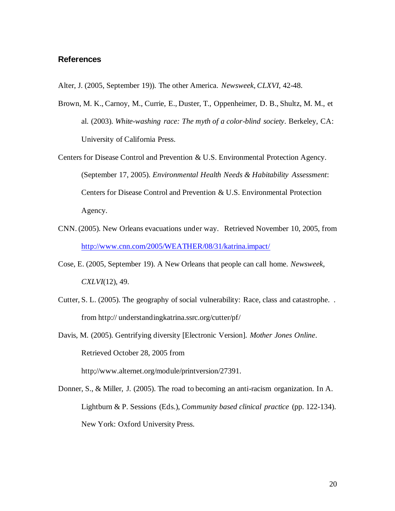### **References**

Alter, J. (2005, September 19)). The other America. *Newsweek, CLXVI,* 42-48.

- Brown, M. K., Carnoy, M., Currie, E., Duster, T., Oppenheimer, D. B., Shultz, M. M., et al. (2003). *White-washing race: The myth of a color-blind society*. Berkeley, CA: University of California Press.
- Centers for Disease Control and Prevention & U.S. Environmental Protection Agency. (September 17, 2005). *Environmental Health Needs & Habitability Assessment*: Centers for Disease Control and Prevention & U.S. Environmental Protection Agency.
- CNN. (2005). New Orleans evacuations under way. Retrieved November 10, 2005, from <http://www.cnn.com/2005/WEATHER/08/31/katrina.impact/>
- Cose, E. (2005, September 19). A New Orleans that people can call home. *Newsweek, CXLVI*(12), 49.
- Cutter, S. L. (2005). The geography of social vulnerability: Race, class and catastrophe. . from http:// understandingkatrina.ssrc.org/cutter/pf/
- Davis, M. (2005). Gentrifying diversity [Electronic Version]. *Mother Jones Online*. Retrieved October 28, 2005 from http;//www.alternet.org/module/printversion/27391.
- Donner, S., & Miller, J. (2005). The road to becoming an anti-racism organization. In A. Lightburn & P. Sessions (Eds.), *Community based clinical practice* (pp. 122-134). New York: Oxford University Press.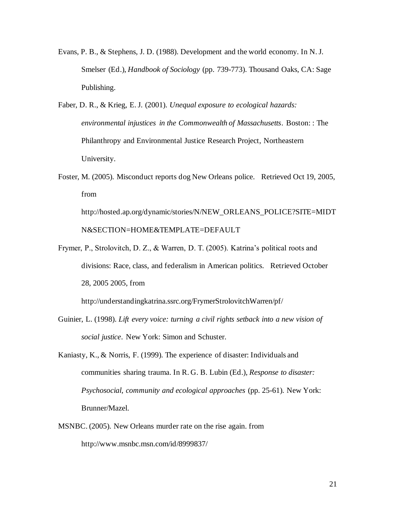- Evans, P. B., & Stephens, J. D. (1988). Development and the world economy. In N. J. Smelser (Ed.), *Handbook of Sociology* (pp. 739-773). Thousand Oaks, CA: Sage Publishing.
- Faber, D. R., & Krieg, E. J. (2001). *Unequal exposure to ecological hazards: environmental injustices in the Commonwealth of Massachusetts*. Boston: : The Philanthropy and Environmental Justice Research Project, Northeastern University.
- Foster, M. (2005). Misconduct reports dog New Orleans police. Retrieved Oct 19, 2005, from http://hosted.ap.org/dynamic/stories/N/NEW\_ORLEANS\_POLICE?SITE=MIDT

N&SECTION=HOME&TEMPLATE=DEFAULT

Frymer, P., Strolovitch, D. Z., & Warren, D. T. (2005). Katrina's political roots and divisions: Race, class, and federalism in American politics. Retrieved October 28, 2005 2005, from

http://understandingkatrina.ssrc.org/FrymerStrolovitchWarren/pf/

- Guinier, L. (1998). *Lift every voice: turning a civil rights setback into a new vision of social justice*. New York: Simon and Schuster.
- Kaniasty, K., & Norris, F. (1999). The experience of disaster: Individuals and communities sharing trauma. In R. G. B. Lubin (Ed.), *Response to disaster: Psychosocial, community and ecological approaches* (pp. 25-61). New York: Brunner/Mazel.
- MSNBC. (2005). New Orleans murder rate on the rise again. from http://www.msnbc.msn.com/id/8999837/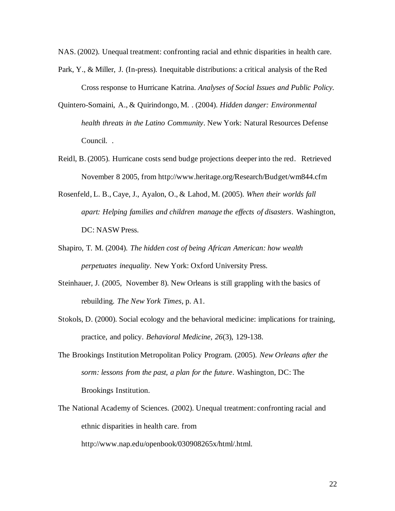NAS. (2002). Unequal treatment: confronting racial and ethnic disparities in health care.

- Park, Y., & Miller, J. (In-press). Inequitable distributions: a critical analysis of the Red Cross response to Hurricane Katrina. *Analyses of Social Issues and Public Policy.*
- Quintero-Somaini, A., & Quirindongo, M. . (2004). *Hidden danger: Environmental health threats in the Latino Community*. New York: Natural Resources Defense Council. .
- Reidl, B. (2005). Hurricane costs send budge projections deeper into the red. Retrieved November 8 2005, from http://www.heritage.org/Research/Budget/wm844.cfm
- Rosenfeld, L. B., Caye, J., Ayalon, O., & Lahod, M. (2005). *When their worlds fall apart: Helping families and children manage the effects of disasters*. Washington, DC: NASW Press.
- Shapiro, T. M. (2004). *The hidden cost of being African American: how wealth perpetuates inequality*. New York: Oxford University Press.
- Steinhauer, J. (2005, November 8). New Orleans is still grappling with the basics of rebuilding*. The New York Times*, p. A1.
- Stokols, D. (2000). Social ecology and the behavioral medicine: implications for training, practice, and policy. *Behavioral Medicine, 26*(3), 129-138.
- The Brookings Institution Metropolitan Policy Program. (2005). *New Orleans after the sorm: lessons from the past, a plan for the future*. Washington, DC: The Brookings Institution.
- The National Academy of Sciences. (2002). Unequal treatment: confronting racial and ethnic disparities in health care. from

http://www.nap.edu/openbook/030908265x/html/.html.